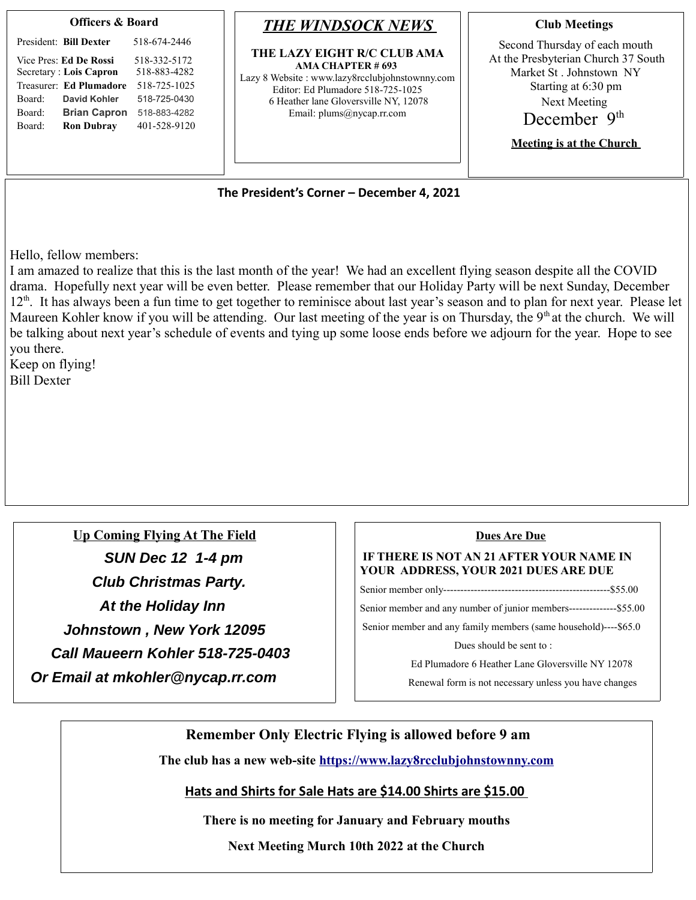| <b>Officers &amp; Board</b> |  |
|-----------------------------|--|
|                             |  |

|        | President: Bill Dexter  | 518-674-2446 |
|--------|-------------------------|--------------|
|        | Vice Pres: Ed De Rossi  | 518-332-5172 |
|        | Secretary : Lois Capron | 518-883-4282 |
|        | Treasurer: Ed Plumadore | 518-725-1025 |
| Board: | David Kohler            | 518-725-0430 |
| Board: | <b>Brian Capron</b>     | 518-883-4282 |
| Board: | <b>Ron Dubray</b>       | 401-528-9120 |
|        |                         |              |

## *THE WINDSOCK NEWS*

**THE LAZY EIGHT R/C CLUB AMA AMA CHAPTER # 693**  Lazy 8 Website : www.lazy8rcclubjohnstownny.com Editor: Ed Plumadore 518-725-1025 6 Heather lane Gloversville NY, 12078 Email: plums@nycap.rr.com

**Club Meetings** 

Second Thursday of each mouth At the Presbyterian Church 37 South Market St . Johnstown NY Starting at 6:30 pm Next Meeting December 9<sup>th</sup>

**Meeting is at the Church** 

**The President's Corner – December 4, 2021**

Hello, fellow members:

I am amazed to realize that this is the last month of the year! We had an excellent flying season despite all the COVID drama. Hopefully next year will be even better. Please remember that our Holiday Party will be next Sunday, December  $12<sup>th</sup>$ . It has always been a fun time to get together to reminisce about last year's season and to plan for next year. Please let Maureen Kohler know if you will be attending. Our last meeting of the year is on Thursday, the  $9<sup>th</sup>$  at the church. We will be talking about next year's schedule of events and tying up some loose ends before we adjourn for the year. Hope to see you there.

Keep on flying! Bill Dexter

 **Up Coming Flying At The Field SUN Dec 12 1-4 pm Club Christmas Party. At the Holiday Inn Johnstown , New York 12095 Call Maueern Kohler 518-725-0403 Or Email at mkohler@nycap.rr.com**

## **Dues Are Due**

## **IF THERE IS NOT AN 21 AFTER YOUR NAME IN YOUR ADDRESS, YOUR 2021 DUES ARE DUE**

Senior member only-------------------------------------------------\$55.00

Senior member and any number of junior members--------------\$55.00

Senior member and any family members (same household)----\$65.0

Dues should be sent to :

Ed Plumadore 6 Heather Lane Gloversville NY 12078

Renewal form is not necessary unless you have changes

**Remember Only Electric Flying is allowed before 9 am** 

**The club has a new web-site [https://www.lazy8rcclubjohnstownny.com](https://www.lazy8rcclubjohnstownny.com/)**

**Hats and Shirts for Sale Hats are \$14.00 Shirts are \$15.00** 

**There is no meeting for January and February mouths** 

**Next Meeting Murch 10th 2022 at the Church**